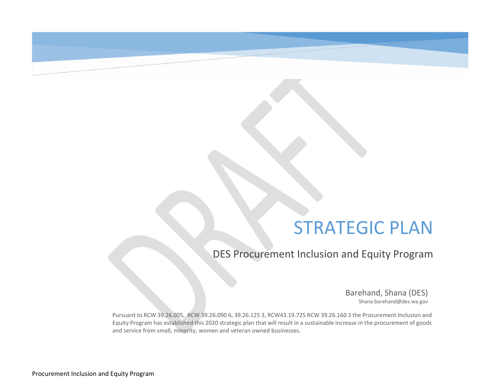### STRATEGIC PLAN

DES Procurement Inclusion and Equity Program

Barehand, Shana (DES) Shana.barehand@des.wa.gov

Pursuant to RCW 39.26.005, RCW 39.26.090 6, 39.26.125 3, RCW43.19.725 RCW 39.26.160 3 the Procurement Inclusion and Equity Program has established this 2020 strategic plan that will result in a sustainable increase in the procurement of goods and service from small, minority, women and veteran owned businesses.

------------------------------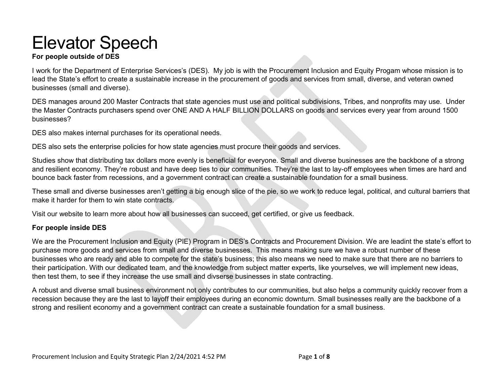## Elevator Speech

#### **For people outside of DES**

 lead the State's effort to create a sustainable increase in the procurement of goods and services from small, diverse, and veteran owned I work for the Department of Enterprise Services's (DES). My job is with the Procurement Inclusion and Equity Progam whose mission is to businesses (small and diverse).

businesses? DES manages around 200 Master Contracts that state agencies must use and political subdivisions, Tribes, and nonprofits may use. Under the Master Contracts purchasers spend over ONE AND A HALF BILLION DOLLARS on goods and services every year from around 1500

DES also makes internal purchases for its operational needs.

DES also sets the enterprise policies for how state agencies must procure their goods and services.

Studies show that distributing tax dollars more evenly is beneficial for everyone. Small and diverse businesses are the backbone of a strong and resilient economy. They're robust and have deep ties to our communities. They're the last to lay-off employees when times are hard and bounce back faster from recessions, and a government contract can create a sustainable foundation for a small business.

 These small and diverse businesses aren't getting a big enough slice of the pie, so we work to reduce legal, political, and cultural barriers that make it harder for them to win state contracts.

Visit our website to learn more about how all businesses can succeed, get certified, or give us feedback.

#### **For people inside DES**

 We are the Procurement Inclusion and Equity (PIE) Program in DES's Contracts and Procurement Division. We are leadint the state's effort to purchase more goods and services from small and diverse businesses. This means making sure we have a robust number of these businesses who are ready and able to compete for the state's business; this also means we need to make sure that there are no barriers to their participation. With our dedicated team, and the knowledge from subject matter experts, like yourselves, we will implement new ideas, then test them, to see if they increase the use small and divserse businesses in state contracting.

 A robust and diverse small business environment not only contributes to our communities, but also helps a community quickly recover from a recession because they are the last to layoff their employees during an economic downturn. Small businesses really are the backbone of a strong and resilient economy and a government contract can create a sustainable foundation for a small business.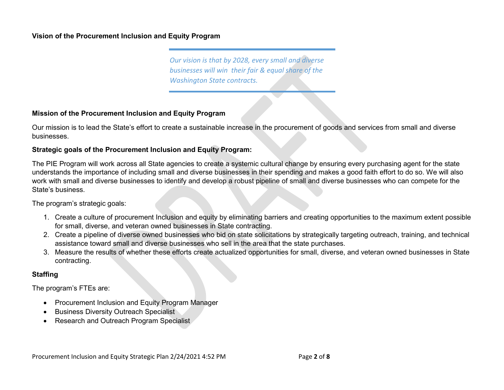#### **Vision of the Procurement Inclusion and Equity Program**

*Our vision is that by 2028, every small and diverse businesses will win their fair & equal share of the Washington State contracts.* 

#### **Mission of the Procurement Inclusion and Equity Program**

Our mission is to lead the State's effort to create a sustainable increase in the procurement of goods and services from small and diverse businesses.

#### **Strategic goals of the Procurement Inclusion and Equity Program:**

 understands the importance of including small and diverse businesses in their spending and makes a good faith effort to do so. We will also work with small and diverse businesses to identify and develop a robust pipeline of small and diverse businesses who can compete for the State's business The PIE Program will work across all State agencies to create a systemic cultural change by ensuring every purchasing agent for the state

The program's strategic goals:

- 1. Create a culture of procurement Inclusion and equity by eliminating barriers and creating opportunities to the maximum extent possible for small, diverse, and veteran owned businesses in State contracting.
- 2. Create a pipeline of diverse owned businesses who bid on state solicitations by strategically targeting outreach, training, and technical assistance toward small and diverse businesses who sell in the area that the state purchases.
- 3. Measure the results of whether these efforts create actualized opportunities for small, diverse, and veteran owned businesses in State contracting.

#### **Staffing**

The program's FTEs are:

- Procurement Inclusion and Equity Program Manager
- **Business Diversity Outreach Specialist**
- Research and Outreach Program Specialist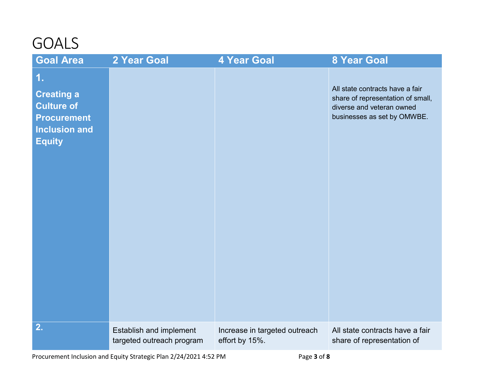### GOALS

| <b>Goal Area</b>                                                                                            | 2 Year Goal                                          | <b>4 Year Goal</b>                              | <b>8 Year Goal</b>                                                                                                               |
|-------------------------------------------------------------------------------------------------------------|------------------------------------------------------|-------------------------------------------------|----------------------------------------------------------------------------------------------------------------------------------|
| 1.<br><b>Creating a</b><br><b>Culture of</b><br><b>Procurement</b><br><b>Inclusion and</b><br><b>Equity</b> |                                                      |                                                 | All state contracts have a fair<br>share of representation of small,<br>diverse and veteran owned<br>businesses as set by OMWBE. |
| 2.                                                                                                          | Establish and implement<br>targeted outreach program | Increase in targeted outreach<br>effort by 15%. | All state contracts have a fair<br>share of representation of                                                                    |

Procurement Inclusion and Equity Strategic Plan 2/24/2021 4:52 PM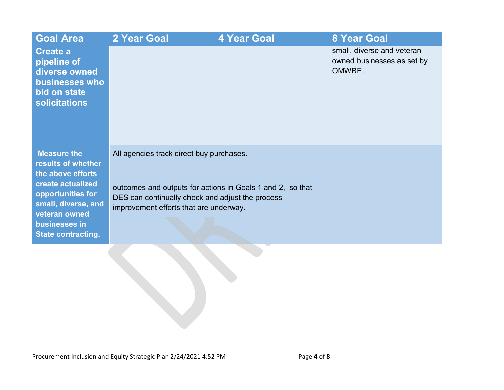| <b>Goal Area</b>                                                                                                                                                                              | 2 Year Goal                                                                                                                                                                                          | <b>4 Year Goal</b> | <b>8 Year Goal</b>                                                 |
|-----------------------------------------------------------------------------------------------------------------------------------------------------------------------------------------------|------------------------------------------------------------------------------------------------------------------------------------------------------------------------------------------------------|--------------------|--------------------------------------------------------------------|
| <b>Create a</b><br>pipeline of<br>diverse owned<br>businesses who<br>bid on state<br><b>solicitations</b>                                                                                     |                                                                                                                                                                                                      |                    | small, diverse and veteran<br>owned businesses as set by<br>OMWBE. |
| <b>Measure the</b><br>results of whether<br>the above efforts<br>create actualized<br>opportunities for<br>small, diverse, and<br>veteran owned<br>businesses in<br><b>State contracting.</b> | All agencies track direct buy purchases.<br>outcomes and outputs for actions in Goals 1 and 2, so that<br>DES can continually check and adjust the process<br>improvement efforts that are underway. |                    |                                                                    |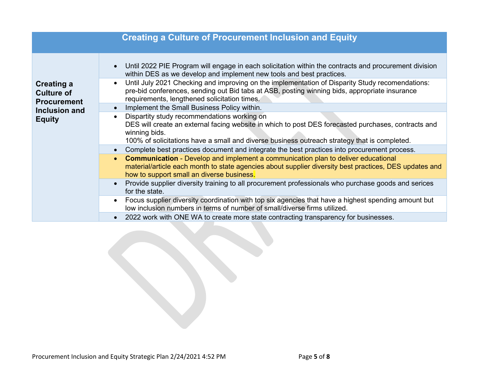|                                                              | <b>Creating a Culture of Procurement Inclusion and Equity</b>                                                                                                                                                                                                       |
|--------------------------------------------------------------|---------------------------------------------------------------------------------------------------------------------------------------------------------------------------------------------------------------------------------------------------------------------|
|                                                              | Until 2022 PIE Program will engage in each solicitation within the contracts and procurement division<br>within DES as we develop and implement new tools and best practices.                                                                                       |
| <b>Creating a</b><br><b>Culture of</b><br><b>Procurement</b> | Until July 2021 Checking and improving on the implementation of Disparity Study recomendations:<br>pre-bid conferences, sending out Bid tabs at ASB, posting winning bids, appropriate insurance<br>requirements, lengthened solicitation times.                    |
| Inclusion and                                                | Implement the Small Business Policy within.<br>$\bullet$                                                                                                                                                                                                            |
| <b>Equity</b>                                                | Dispartity study recommendations working on<br>DES will create an external facing website in which to post DES forecasted purchases, contracts and<br>winning bids.<br>100% of solicitations have a small and diverse business outreach strategy that is completed. |
|                                                              | Complete best practices document and integrate the best practices into procurement process.<br>$\bullet$                                                                                                                                                            |
|                                                              | <b>Communication</b> - Develop and implement a communication plan to deliver educational<br>$\bullet$<br>material/article each month to state agencies about supplier diversity best practices, DES updates and<br>how to support small an diverse business.        |
|                                                              | Provide supplier diversity training to all procurement professionals who purchase goods and serices<br>for the state.                                                                                                                                               |
|                                                              | Focus supplier diversity coordination with top six agencies that have a highest spending amount but<br>low inclusion numbers in terms of number of small/diverse firms utilized.                                                                                    |
|                                                              | 2022 work with ONE WA to create more state contracting transparency for businesses.                                                                                                                                                                                 |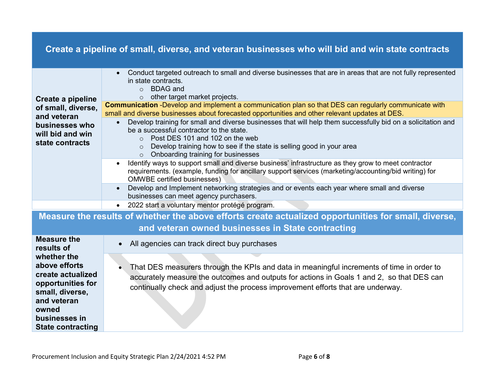|                                                                                                                                                                | Create a pipeline of small, diverse, and veteran businesses who will bid and win state contracts                                                                                                                                                                                                                                     |
|----------------------------------------------------------------------------------------------------------------------------------------------------------------|--------------------------------------------------------------------------------------------------------------------------------------------------------------------------------------------------------------------------------------------------------------------------------------------------------------------------------------|
| Create a pipeline                                                                                                                                              | Conduct targeted outreach to small and diverse businesses that are in areas that are not fully represented<br>$\bullet$<br>in state contracts.<br><b>BDAG</b> and<br>$\circ$<br>other target market projects.<br>$\circ$                                                                                                             |
| of small, diverse,                                                                                                                                             | Communication -Develop and implement a communication plan so that DES can regularly communicate with<br>small and diverse businesses about forecasted opportunities and other relevant updates at DES.                                                                                                                               |
| and veteran<br>businesses who<br>will bid and win<br>state contracts                                                                                           | Develop training for small and diverse businesses that will help them successfully bid on a solicitation and<br>be a successful contractor to the state.<br>Post DES 101 and 102 on the web<br>$\Omega$<br>Develop training how to see if the state is selling good in your area<br>$\Omega$<br>o Onboarding training for businesses |
|                                                                                                                                                                | Identify ways to support small and diverse business' infrastructure as they grow to meet contractor<br>requirements. (example, funding for ancillary support services (marketing/accounting/bid writing) for<br><b>OMWBE</b> certified businesses)                                                                                   |
|                                                                                                                                                                | Develop and Implement networking strategies and or events each year where small and diverse<br>businesses can meet agency purchasers.                                                                                                                                                                                                |
|                                                                                                                                                                | 2022 start a voluntary mentor protégé program.<br>$\bullet$                                                                                                                                                                                                                                                                          |
|                                                                                                                                                                | Measure the results of whether the above efforts create actualized opportunities for small, diverse,                                                                                                                                                                                                                                 |
|                                                                                                                                                                | and veteran owned businesses in State contracting                                                                                                                                                                                                                                                                                    |
| <b>Measure the</b><br>results of                                                                                                                               | All agencies can track direct buy purchases<br>$\bullet$                                                                                                                                                                                                                                                                             |
| whether the<br>above efforts<br>create actualized<br>opportunities for<br>small, diverse,<br>and veteran<br>owned<br>businesses in<br><b>State contracting</b> | That DES measurers through the KPIs and data in meaningful increments of time in order to<br>accurately measure the outcomes and outputs for actions in Goals 1 and 2, so that DES can<br>continually check and adjust the process improvement efforts that are underway.                                                            |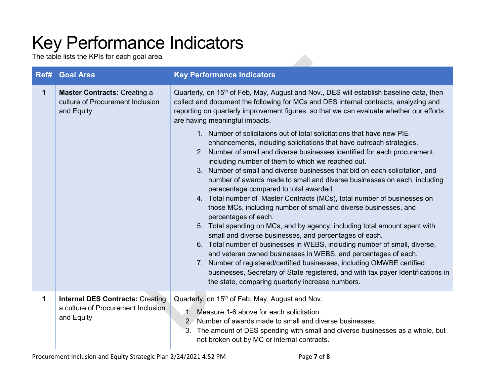# Key Performance Indicators

The table lists the KPIs for each goal area.

| Ref#        | <b>Goal Area</b>                                                                            | <b>Key Performance Indicators</b>                                                                                                                                                                                                                                                                                                                                                                                                                                                                                                                                                                                                                                                                                                                                                                                                                                                                                                                                                                                                                                                                                                                                                                                                                                                                                                                                                                                                                                                                      |
|-------------|---------------------------------------------------------------------------------------------|--------------------------------------------------------------------------------------------------------------------------------------------------------------------------------------------------------------------------------------------------------------------------------------------------------------------------------------------------------------------------------------------------------------------------------------------------------------------------------------------------------------------------------------------------------------------------------------------------------------------------------------------------------------------------------------------------------------------------------------------------------------------------------------------------------------------------------------------------------------------------------------------------------------------------------------------------------------------------------------------------------------------------------------------------------------------------------------------------------------------------------------------------------------------------------------------------------------------------------------------------------------------------------------------------------------------------------------------------------------------------------------------------------------------------------------------------------------------------------------------------------|
| $\mathbf 1$ | <b>Master Contracts: Creating a</b><br>culture of Procurement Inclusion<br>and Equity       | Quarterly, on 15 <sup>th</sup> of Feb, May, August and Nov., DES will establish baseline data, then<br>collect and document the following for MCs and DES internal contracts, analyzing and<br>reporting on quarterly improvement figures, so that we can evaluate whether our efforts<br>are having meaningful impacts.<br>1. Number of solicitaions out of total solicitations that have new PIE<br>enhancements, including solicitations that have outreach strategies.<br>2. Number of small and diverse businesses identified for each procurement,<br>including number of them to which we reached out.<br>3. Number of small and diverse businesses that bid on each solicitation, and<br>number of awards made to small and diverse businesses on each, including<br>perecentage compared to total awarded.<br>4. Total number of Master Contracts (MCs), total number of businesses on<br>those MCs, including number of small and diverse businesses, and<br>percentages of each.<br>5. Total spending on MCs, and by agency, including total amount spent with<br>small and diverse businesses, and percentages of each.<br>6. Total number of businesses in WEBS, including number of small, diverse,<br>and veteran owned businesses in WEBS, and percentages of each.<br>7. Number of registered/certified businesses, including OMWBE certified<br>businesses, Secretary of State registered, and with tax payer Identifications in<br>the state, comparing quarterly increase numbers. |
| 1           | <b>Internal DES Contracts: Creating</b><br>a culture of Procurement Inclusion<br>and Equity | Quarterly, on 15 <sup>th</sup> of Feb, May, August and Nov.<br>1. Measure 1-6 above for each solicitation.<br>2. Number of awards made to small and diverse businesses.<br>3. The amount of DES spending with small and diverse businesses as a whole, but<br>not broken out by MC or internal contracts.                                                                                                                                                                                                                                                                                                                                                                                                                                                                                                                                                                                                                                                                                                                                                                                                                                                                                                                                                                                                                                                                                                                                                                                              |